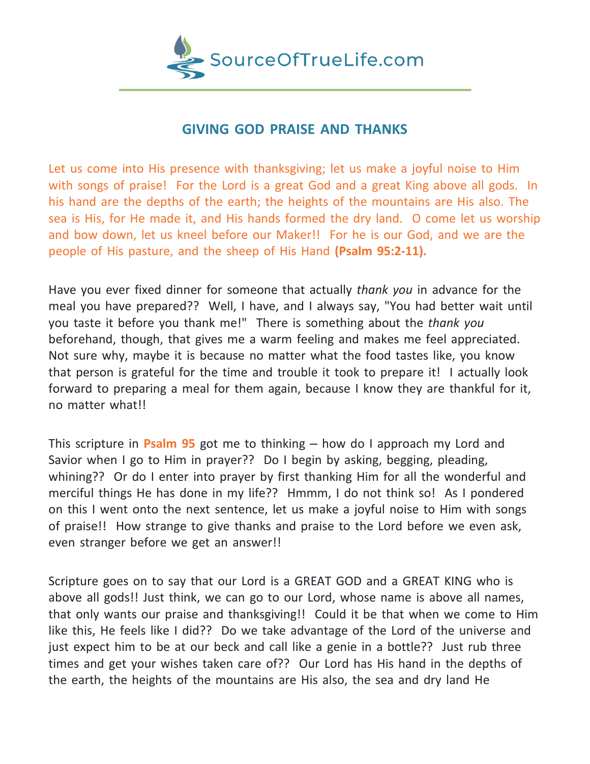

## **GIVING GOD PRAISE AND THANKS**

Let us come into His presence with thanksgiving; let us make a joyful noise to Him with songs of praise! For the Lord is a great God and a great King above all gods. In his hand are the depths of the earth; the heights of the mountains are His also. The sea is His, for He made it, and His hands formed the dry land. O come let us worship and bow down, let us kneel before our Maker!! For he is our God, and we are the people of His pasture, and the sheep of His Hand **(Psalm 95:2-11).**

Have you ever fixed dinner for someone that actually *thank you* in advance for the meal you have prepared?? Well, I have, and I always say, "You had better wait until you taste it before you thank me!" There is something about the *thank you* beforehand, though, that gives me a warm feeling and makes me feel appreciated. Not sure why, maybe it is because no matter what the food tastes like, you know that person is grateful for the time and trouble it took to prepare it! I actually look forward to preparing a meal for them again, because I know they are thankful for it, no matter what!!

This scripture in **Psalm 95** got me to thinking – how do I approach my Lord and Savior when I go to Him in prayer?? Do I begin by asking, begging, pleading, whining?? Or do I enter into prayer by first thanking Him for all the wonderful and merciful things He has done in my life?? Hmmm, I do not think so! As I pondered on this I went onto the next sentence, let us make a joyful noise to Him with songs of praise!! How strange to give thanks and praise to the Lord before we even ask, even stranger before we get an answer!!

Scripture goes on to say that our Lord is a GREAT GOD and a GREAT KING who is above all gods!! Just think, we can go to our Lord, whose name is above all names, that only wants our praise and thanksgiving!! Could it be that when we come to Him like this, He feels like I did?? Do we take advantage of the Lord of the universe and just expect him to be at our beck and call like a genie in a bottle?? Just rub three times and get your wishes taken care of?? Our Lord has His hand in the depths of the earth, the heights of the mountains are His also, the sea and dry land He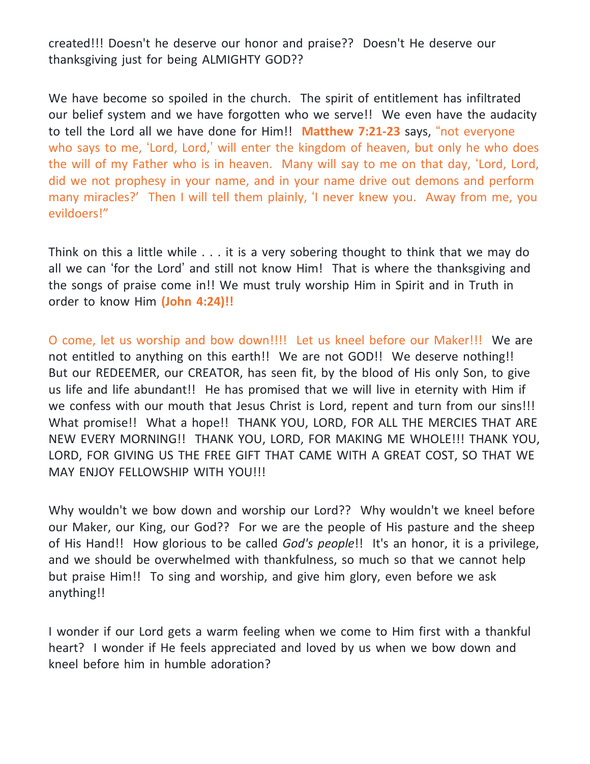created!!! Doesn't he deserve our honor and praise?? Doesn't He deserve our thanksgiving just for being ALMIGHTY GOD??

We have become so spoiled in the church. The spirit of entitlement has infiltrated our belief system and we have forgotten who we serve!! We even have the audacity to tell the Lord all we have done for Him!! **Matthew 7:21-23** says, "not everyone who says to me, 'Lord, Lord,' will enter the kingdom of heaven, but only he who does the will of my Father who is in heaven. Many will say to me on that day, 'Lord, Lord, did we not prophesy in your name, and in your name drive out demons and perform many miracles?' Then I will tell them plainly, 'I never knew you. Away from me, you evildoers!"

Think on this a little while . . . it is a very sobering thought to think that we may do all we can 'for the Lord' and still not know Him! That is where the thanksgiving and the songs of praise come in!! We must truly worship Him in Spirit and in Truth in order to know Him **(John 4:24)!!**

O come, let us worship and bow down!!!! Let us kneel before our Maker!!! We are not entitled to anything on this earth!! We are not GOD!! We deserve nothing!! But our REDEEMER, our CREATOR, has seen fit, by the blood of His only Son, to give us life and life abundant!! He has promised that we will live in eternity with Him if we confess with our mouth that Jesus Christ is Lord, repent and turn from our sins!!! What promise!! What a hope!! THANK YOU, LORD, FOR ALL THE MERCIES THAT ARE NEW EVERY MORNING!! THANK YOU, LORD, FOR MAKING ME WHOLE!!! THANK YOU, LORD, FOR GIVING US THE FREE GIFT THAT CAME WITH A GREAT COST, SO THAT WE MAY ENJOY FELLOWSHIP WITH YOU!!!

Why wouldn't we bow down and worship our Lord?? Why wouldn't we kneel before our Maker, our King, our God?? For we are the people of His pasture and the sheep of His Hand!! How glorious to be called *God's people*!! It's an honor, it is a privilege, and we should be overwhelmed with thankfulness, so much so that we cannot help but praise Him!! To sing and worship, and give him glory, even before we ask anything!!

I wonder if our Lord gets a warm feeling when we come to Him first with a thankful heart? I wonder if He feels appreciated and loved by us when we bow down and kneel before him in humble adoration?